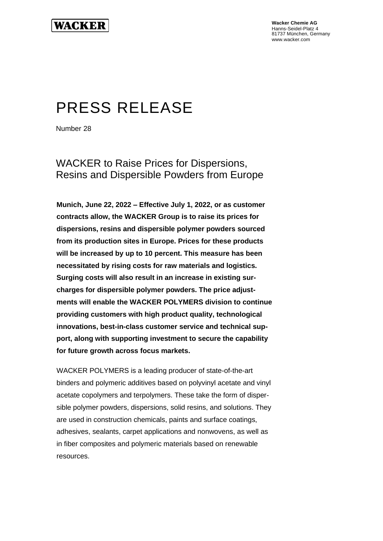**Wacker Chemie AG** Hanns-Seidel-Platz 4 81737 München, Germany www.wacker.com

# PRESS RELEASE

Number 28

WACKER to Raise Prices for Dispersions, Resins and Dispersible Powders from Europe

**Munich, June 22, 2022 – Effective July 1, 2022, or as customer contracts allow, the WACKER Group is to raise its prices for dispersions, resins and dispersible polymer powders sourced from its production sites in Europe. Prices for these products will be increased by up to 10 percent. This measure has been necessitated by rising costs for raw materials and logistics. Surging costs will also result in an increase in existing surcharges for dispersible polymer powders. The price adjustments will enable the WACKER POLYMERS division to continue providing customers with high product quality, technological innovations, best-in-class customer service and technical support, along with supporting investment to secure the capability for future growth across focus markets.**

WACKER POLYMERS is a leading producer of state-of-the-art binders and polymeric additives based on polyvinyl acetate and vinyl acetate copolymers and terpolymers. These take the form of dispersible polymer powders, dispersions, solid resins, and solutions. They are used in construction chemicals, paints and surface coatings, adhesives, sealants, carpet applications and nonwovens, as well as in fiber composites and polymeric materials based on renewable resources.